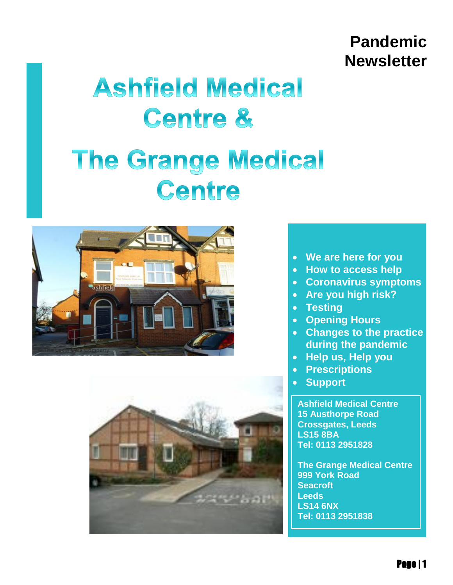# **Pandemic Newsletter**

# **Ashfield Medical Centre &**

# **The Grange Medical** Centre





- **We are here for you**
- **How to access help**
- **Coronavirus symptoms**
- **Are you high risk?**
- **Testing**
- **Opening Hours**
- **Changes to the practice during the pandemic**
- **Help us, Help you**
- **Prescriptions**
- **Support**

**[Ashfield Medical Centre](http://maps.google.com/?saddr=Current%20Location&daddr=%20Ashfield%20Medical%20Centre15%20Austhorpe%20RoadCrossgates,%20LeedsLS15%208BA)  [15 Austhorpe Road](http://maps.google.com/?saddr=Current%20Location&daddr=%20Ashfield%20Medical%20Centre15%20Austhorpe%20RoadCrossgates,%20LeedsLS15%208BA)  [Crossgates, Leeds](http://maps.google.com/?saddr=Current%20Location&daddr=%20Ashfield%20Medical%20Centre15%20Austhorpe%20RoadCrossgates,%20LeedsLS15%208BA)  [LS15 8BA](http://maps.google.com/?saddr=Current%20Location&daddr=%20Ashfield%20Medical%20Centre15%20Austhorpe%20RoadCrossgates,%20LeedsLS15%208BA) Tel: 0113 2951828**

**[The Grange Medical Centre](http://maps.google.com/?saddr=Current%20Location&daddr=%20The%20Grange%20Medical%20Centre999%20York%20RoadSeacroftLeedsLS14%206NX)  [999 York Road](http://maps.google.com/?saddr=Current%20Location&daddr=%20The%20Grange%20Medical%20Centre999%20York%20RoadSeacroftLeedsLS14%206NX)  [Seacroft](http://maps.google.com/?saddr=Current%20Location&daddr=%20The%20Grange%20Medical%20Centre999%20York%20RoadSeacroftLeedsLS14%206NX)  [Leeds](http://maps.google.com/?saddr=Current%20Location&daddr=%20The%20Grange%20Medical%20Centre999%20York%20RoadSeacroftLeedsLS14%206NX)  [LS14 6NX](http://maps.google.com/?saddr=Current%20Location&daddr=%20The%20Grange%20Medical%20Centre999%20York%20RoadSeacroftLeedsLS14%206NX) Tel: 0113 2951838**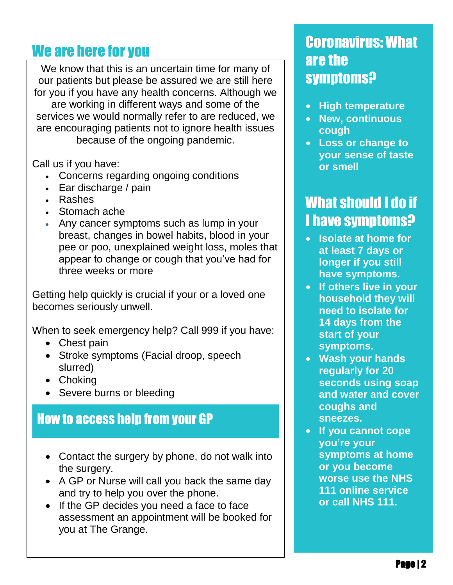. our patients but please be assured we are still here We know that this is an uncertain time for many of for you if you have any health concerns. Although we are working in different ways and some of the services we would normally refer to are reduced, we are encouraging patients not to ignore health issues because of the ongoing pandemic.

Call us if you have:

- Concerns regarding ongoing conditions
- Ear discharge / pain
- Rashes
- Stomach ache
- Any cancer symptoms such as lump in your breast, changes in bowel habits, blood in your pee or poo, unexplained weight loss, moles that appear to change or cough that you've had for three weeks or more

Getting help quickly is crucial if your or a loved one becomes seriously unwell.

When to seek emergency help? Call 999 if you have:

- Chest pain
- Stroke symptoms (Facial droop, speech slurred)
- Choking
- Severe burns or bleeding

#### How to access help from your GP

- Contact the surgery by phone, do not walk into the surgery.
- A GP or Nurse will call you back the same day and try to help you over the phone.
- If the GP decides you need a face to face assessment an appointment will be booked for you at The Grange.

#### We are here for you contact the coronavirus: What are the symptoms?

- **High temperature**
- **New, continuous cough**
- **Loss or change to your sense of taste or smell**

## What should I do if I have symptoms?

- **Isolate at home for at least 7 days or longer if you still have symptoms.**
- **If others live in your household they will need to isolate for 14 days from the start of your symptoms.**
- **Wash your hands regularly for 20 seconds using soap and water and cover coughs and sneezes.**
- **If you cannot cope you're your symptoms at home or you become worse use the NHS 111 online service or call NHS 111.**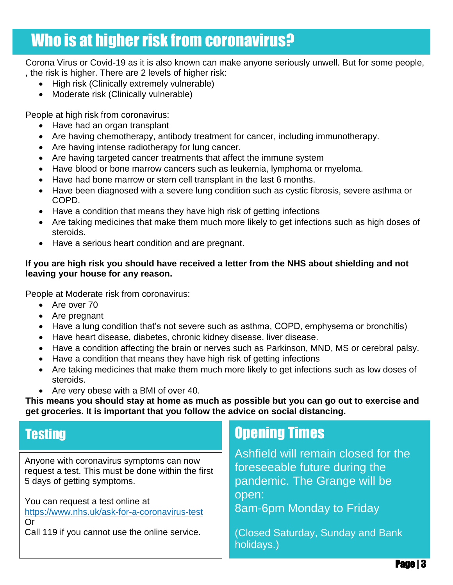# Who is at higher risk from coronavirus?

Corona Virus or Covid-19 as it is also known can make anyone seriously unwell. But for some people, , the risk is higher. There are 2 levels of higher risk:

- High risk (Clinically extremely vulnerable)
- Moderate risk (Clinically vulnerable)

People at high risk from coronavirus:

- Have had an organ transplant
- Are having chemotherapy, antibody treatment for cancer, including immunotherapy.
- Are having intense radiotherapy for lung cancer.
- Are having targeted cancer treatments that affect the immune system
- Have blood or bone marrow cancers such as leukemia, lymphoma or myeloma.
- Have had bone marrow or stem cell transplant in the last 6 months.
- Have been diagnosed with a severe lung condition such as cystic fibrosis, severe asthma or COPD.
- Have a condition that means they have high risk of getting infections
- Are taking medicines that make them much more likely to get infections such as high doses of steroids.
- Have a serious heart condition and are pregnant.

#### **If you are high risk you should have received a letter from the NHS about shielding and not leaving your house for any reason.**

People at Moderate risk from coronavirus:

- Are over 70
- Are pregnant
- Have a lung condition that's not severe such as asthma, COPD, emphysema or bronchitis)
- Have heart disease, diabetes, chronic kidney disease, liver disease.
- Have a condition affecting the brain or nerves such as Parkinson, MND, MS or cerebral palsy.
- Have a condition that means they have high risk of getting infections
- Are taking medicines that make them much more likely to get infections such as low doses of steroids.
- Are very obese with a BMI of over 40.

**This means you should stay at home as much as possible but you can go out to exercise and get groceries. It is important that you follow the advice on social distancing.**

#### **Testing**

Anyone with coronavirus symptoms can now request a test. This must be done within the first 5 days of getting symptoms.

You can request a test online at <https://www.nhs.uk/ask-for-a-coronavirus-test> Or

Call 119 if you cannot use the online service.

### Opening Times

Ashfield will remain closed for the foreseeable future during the pandemic. The Grange will be open: 8am-6pm Monday to Friday

(Closed Saturday, Sunday and Bank holidays.)